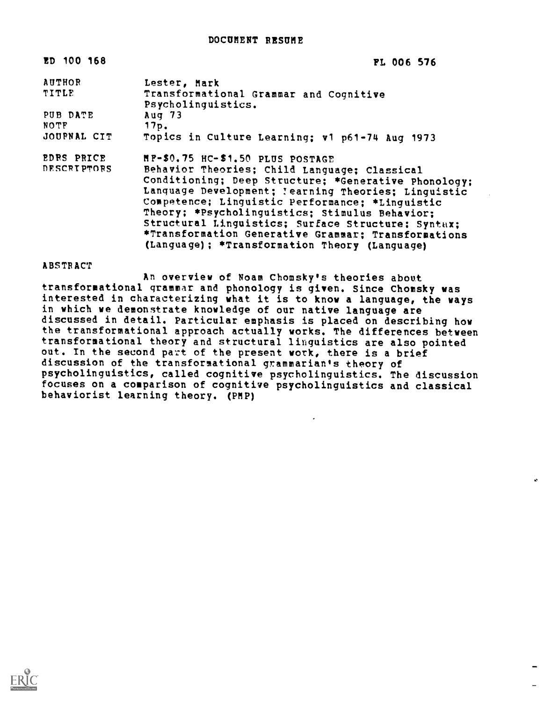| ED 100 168         | <b>PL 006 576</b>                                            |
|--------------------|--------------------------------------------------------------|
| AUTHOR             | Lester, Mark                                                 |
| TITLE              | Transformational Grammar and Cognitive<br>Psycholinguistics. |
| PUB DATE           | Aug $73$                                                     |
| <b>NOTF</b>        | 17p.                                                         |
| JOUPNAL CIT        | Topics in Culture Learning; v1 p61-74 Aug 1973               |
| EDRS PRICE         | HP-\$0.75 HC-\$1.50 PLUS POSTAGE                             |
| <b>DESCRIPTORS</b> | Behavior Theories; Child Language; Classical                 |
|                    | Conditioning; Deep Structure; *Generative Phonology;         |
|                    | Language Development; !earning Theories; Linguistic          |
|                    | Competence; Linquistic Performance; *Linguistic              |
|                    | Theory: *Psycholinguistics: Stimulus Behavior;               |
|                    | Structural Linguistics; Surface Structure; Syntax;           |
|                    | *Transformation Generative Grammar: Transformations          |
|                    | (Language); *Transformation Theory (Language)                |

**ABSTRACT** 

An overview of Roam Chomsky's theories about transformational grammar and phonology is given. Since Chomsky was interested in characterizing what it is to know a language, the ways in which we demonstrate knowledge of our native language are discussed in detail. Particular emphasis is placed on describing how the transformational approach actually works. The differences between transformational theory and structural linguistics are also pointed out. In the second part of the present work, there is a brief discussion of the transformational grammarian's theory of psycholinguistics, called cognitive psycholinguistics. The discussion focuses on a comparison of cognitive psycholinguistics and classical behaviorist learning theory. (PMP)

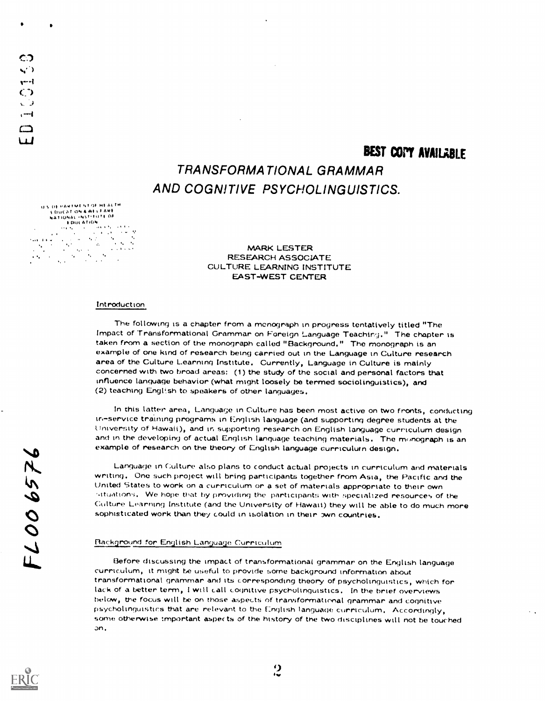## TRANSFORMATIONAL GRAMMAR AND COGNITIVE PSYCHOLINGUISTICS.

U.S. OE HARTMENT OF HEALTH I DUCAT ON A WELFANE<br>NATIONAL INSTITUTE OF  $\frac{1}{2}$  SULATION<br>  $\frac{1}{2}$  SULATION<br>  $\frac{1}{2}$  at  $\frac{1}{2}$  at  $\frac{1}{2}$  at  $\frac{1}{2}$  at  $\frac{1}{2}$  $\mathcal{C}$  $\mathcal{L}_{\rm{max}}$  $\lambda_{\rm{B}}$ 

 $\hat{\mathbf{r}}_i$ 

with the contract of the contract of the contract of the contract of the contract of the contract of the contract of the contract of the contract of the contract of the contract of the contract of the contract of the contr

 $\mathcal{L}$ 

CD

 $-1$  $\bigcirc$  $\sqrt{2}$  $, -1$ 

> MARK LESTER RESEARCH ASSOCIATE CULTURE LEARNING INSTITUTE EAST-WEST CENTER

#### Introduction

The following is a chapter from a monograph in progress tentatively titled "The Impact of Transformational Grammar on Foreign Language Teaching." The chapter is taken from a section of the monograph called "Background." The monograph is an example of one kind of research being carried out in the Language in Culture research area of the Culture Learning Institute. Currently, Language in Culture is mainly concerned with two broad areas: (1) the study of the social and personal factors that influence language behavior (what might loosely be termed sociolinguistics), and (2) teaching English to speakers of other languages.

In this latter area, Language in Culture has been most active on two fronts, conducting in-service training programs in English language (and supporting degree students at the University of Hawaii), and in supporting research on English language curriculum design and in the developing of actual English language teaching materials. The monograph is an example of research on the theory of English language curriculum design.

Language in Culture also plans to conduct actual projects in curriculum and materials writing. One such project will bring participants together from Asia, the Pacific and the united States to work on a curriculum or a set of materials appropriate to their own ..ituation,i. We hope that by providing the participants with specialized resources of the Culture Learning Institute (and the University of Hawaii) they will be able to do much more sophisticated work than they could in isolation in their own countries.

#### Background for English Language Curriculum

LBefore discussing the impact of transformational grammar on the English language curriculum, it might be useful to provide some background information about transformational grammar and its corresponding theory of psycholinguistics, which for lack of a better term, I will call cognitive psycholinguistics. In the brief overviews below, the focus will be on those aspects of transformational grammar and cognitive psycholinguistics that are relevant to the English language curriculum. Accortlingly, some otherwise tmportant aspects of the history of the two disciplines will not be touchedon.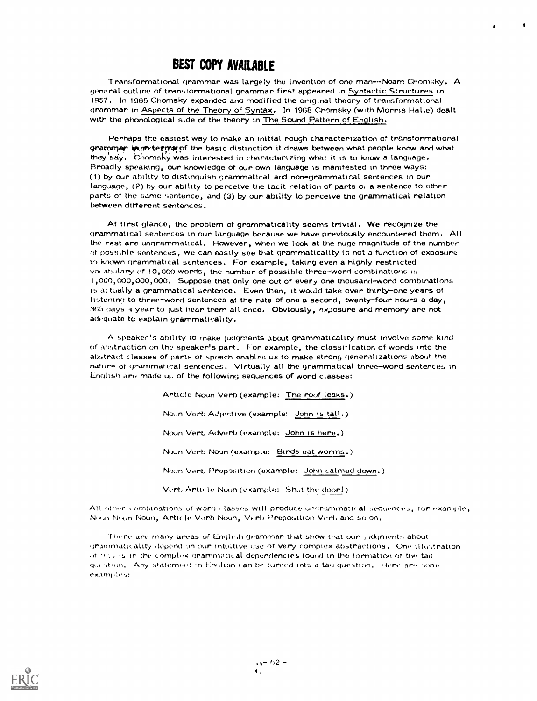Transformational grammar was largely the invention of one man---Noam Chomsky. A general outline of transtormational grammar first appeared in Syntactic Structures in 1957, In 1965 Chomsky expanded and modified the original theory of transformational grammar in Aspects of the Theory of Syntax. In 1968 Chomsky (with Morris Halle) dealt with the phonological side of the theory in The Sound Pattern of English.

 $\bullet$ 

Perhaps the easiest way to make an initial rough characterization of transformational grammer is in terms of the basic distinction it draws between what people know and what they say. Chomsky was interested in characterizing what it is to know a language. Broadly speaking, our knowledge of our own language is manifested in three ways: (1) by our ability to distinguish grammatical and non-grammatical sentences in our language, (2) by our ability to perceive the tacit relation of parts o. a sentence to other parts of the same sentence, and (3) by our ability to perceive the grammatical relation between different sentences.

At ftrst glance, the problem of grammaticality seems trivial. We recognize the grammatical sentences in our language because we have previously encountered them. All the rest are ungrammatical. However, when we look at the nuge magnitude of the number of possible sentences, we can easily see that grammaticality is not a function of exposure known grammatical sentences. For example, taking even a highly restricted you abulary of 10,000 words, the number of possible three-word combinations is 1,0GO, 000, 000, 000. Suppose that only one out of every one thousand-word combinations its actually a grammatical sentence. Even then, it would take over thirty-one years of listening to three-word sentences at the rate of one a second, twenty-four hours a day, 365 days a year to just hear them all once. Obviously, exposure and memory are not adequate to explain grammaticality.

A speaker's ability to make judgments about grammaticality must involve some kind of abstraction on the speaker's part. For example, the classiticatior. of words into the abstract classes of parts of speech enables us to make strong generalizations about the nature of grammatical sentences. Virtually all the grammatical three-word sentences in English are made up of the following sequences of word classes:

> Artic!e Noun Verb (example: The roof leaks.) Noun Verb Adjective (example: John is tall.) Noun Verb Adverb (example: John is here.) Noun Verb Noun (example; Birds eat worms.) Noun Verb Preposition (example: John calmed down.) Vert, Article Noun (example: Shut the door!)

All other combinations of word classes will produce ungrammatical sequences, for example, Nxan Nx.in Noun, Article Virb Noun, Verb Prepositton Vert, and so on.

There are many areas of English grammar that show that our ,jidgments about grammaticality depend on our intuitive use of very complex abstractions. One illu-Aration  $\sigma$  f to the cornplick grammotical dependencies found in the formation of the tad question, Any sfatement in Englisn can he turned into a tag question. Here are some examples:

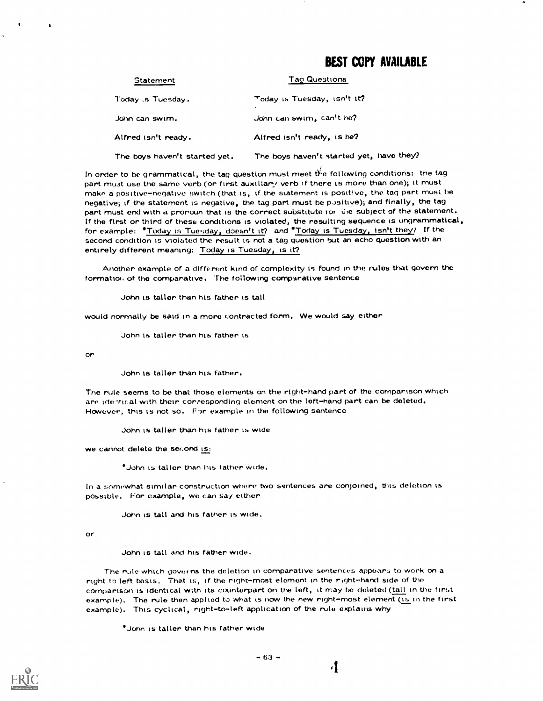| <b>Statement</b>              | <b>Tag Questions</b>                     |
|-------------------------------|------------------------------------------|
| Today, s Tuesday.             | Today is Tuesday, isn't it?              |
| John can swim,                | John can swim, can't he?                 |
| Alfred isn't ready.           | Alfred isn't ready, is he?               |
| The boys haven't started yet. | The boys haven't started yet, have they? |

In order to be grammatical, the tag question must meet the following conditions: the tag part must use the same verb (or first auxiliary verb if there is more than one); it must make a positive-negative switch (that is, if the statement is positive, the tag part must be negative; if the statement is negative, the tag part must be positive); and finally, the tag part must end with a pronoun that is the correct substitute for life subject of the statement. If the first or third of these conditions is violated, the resulting sequence is ungrammatical, for example: 'Today is Tuesday, doesn't it? and \*Today is Tuesday, isn't they? If the second condition is violated the result is not a tag question but an echo question with an entirely different meaning: Today is Tuesday, is it?

Another example of a different kind of complexity is found in the rules that govern the formation of the comparative. The following comparative sentence

John is taller than his father is tall

would normally be said in a more contracted form. We would say either

John is taller than his father is

or

٠

John is taller than his father.

The rule seems to be that those elements on the right-hand part of the comparison which are identical with their corresponding element on the left-hand part can be deleted. However, this is not so. For example in the following sentence

John is taller than his father is wide

we cannot delete the second is:

\*John is taller than his father wide.

In a somewhat similar construction where two sentences are conjoined, this deletion is possible, For example, we can say either

John is tall and his father is wide.

or

John is tall and his father wide.

The mile which governs the deletion in comparative sentences appears to work on a right to left basis. That is, if the right-most element in the right-hand side of the comparison is identical with its counterpart on the left, it may be deleted (tall in the first example). The rule then applied to what is now the new right-most element (is in the first example). This cyclical, right-to-left application of the rule explains why

'John is taller than his father wide

 $\cdot$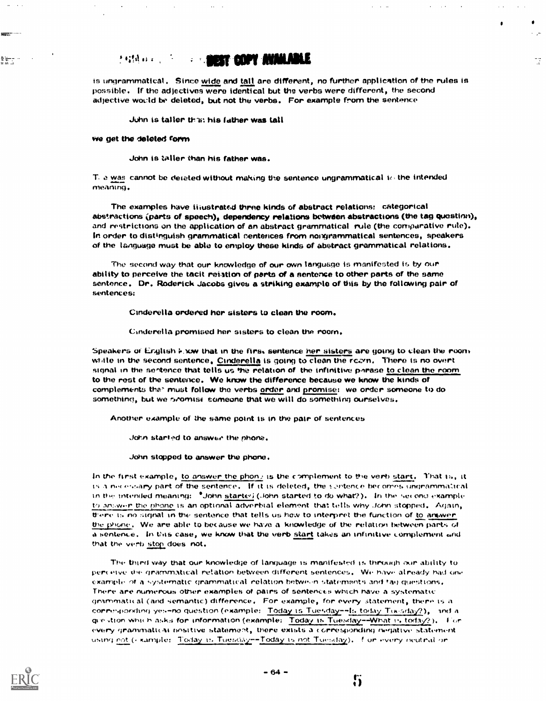#### **1987 COPY AVAILABLE** 大松林 白光 ()

is ungrammatical. Since Wide and tall are different, no further application of the rules is possible. If the adjectives were identical but the verbs were different, the second adjective wovld be deleted, but not the verbs. For example from the sentence

لمراد

 $\mathbb{R}^2$ 

John is taller that his father was tall

#### we get the deleted form

John is taller than his father was.

T. e was cannot be deleted without making the sentence ungrammatical  $w$  the intended meaning.

The examples have titustrated three kinds of abstract relations: categorical abstractions (parts of speech), dependency relations between abstractions (the tag question), and restrictions on the application of an abstract grammatical rule (the comparative rule). In order to distinguish grammatical centences from nongrammatical sentences, speakers of the language must be able to employ these kinds of abstract grammatical relations.

The second way that our knowledge of our own language is manifested is by our ability to perceive the tacit relation of parts of a sentence to other parts of the same sentence. Dr. Roderick Jacobs gives a striking example of this by the following pair of sentences:

Cinderella ordered her sisters to clean the room.

Cinderella promised her sisters to clean the room.

Speakers of English know that in the firs. sentence her sisters are going to clean the room while in the second sentence, Cinderella is going to clean the ream. There is no overt signal in the sentence that tells us the relation of the infinitive parase to clean the room to the rest of the sentence. We know the difference because we know the kinds of complements the" must follow the verbs <u>order</u> and <u>promise:</u> we order someone to do something, but we shomise someone that we will do something ourselves.

Another example of the same point is in the pair of sentences

John started to answer the phone.

John stopped to answer the phone.

In the first example, to answer the phone is the complement to 9ie verb start. That is, it is a necessary part of the sentence. If it is deleted, the sentence becomes ungramma:cal in the interded meaning:  $*$ John starter) (John started to do what?). In the second example to aniwer the phone is an optional adverbial element that tells why John stopped. Again, there is no signal in the sentence that tells us how to interpret the function of to anwer. the phone. We are able to because we have a knowledge of the relation between parts of a sentence. In this case, we know that the verb start takes an infinitive corriplement and that the verb stop does not.

The third way that our knowledge of language is manifested is through our ability to perceive the grammatical relation between different sentences. We have already had one example of a systematic grammatical relation between statements and tail questions. There arc numerous other examples of pairs of sentences which nave a systematic gearrimatical (and semantic) difference. For example, for every statement, there is a corresponding yes-no question (example: Today is Tuesday--1s today Tuesday?), and a gie -tion which asks for information (example: Today is Tuesday--What is today?). For every grammatical positive statement, there exists a corresponding negative statement using not ( xample: Today is Tuescay--Today is not Tuesday). For every neutral or



er i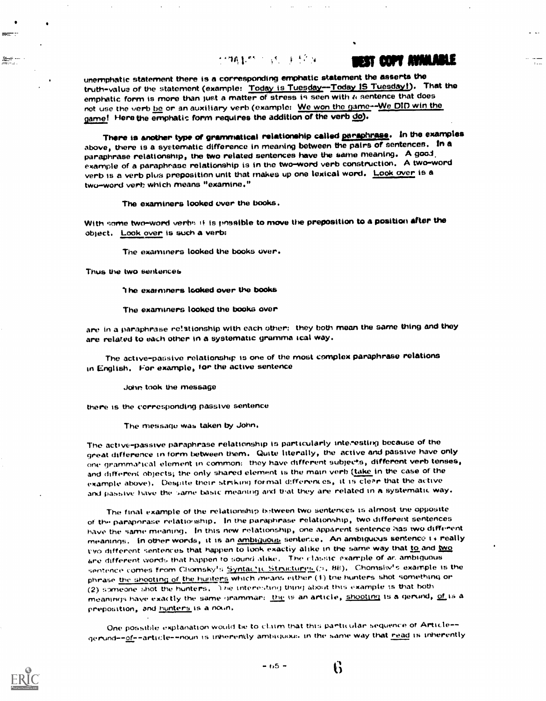### 化弹性热力 计数字 医无色体

## MAT COFT AVAILABLE

unemphatic statement there is a corresponding emphatic statement the asserts the truth-value of the statement (example: Today is Tuesday--Today IS Tuesday!). That the emphatic form is more than just a matter of stress in seen with a sentence that does not use the verb be or an auxiliary verb (example: We won the game -- We DID win the game! Here the emphatic form requires the addition of the verb do).

There is another type of grammatical relationship called paraphrase. In the examples above, there is a systematic difference in meaning between the pairs of sentences. In a paraphrase relationship, the two related sentences have the same meaning. A good, example of a paraphrase relationship is in the two-word verb construction. A two-word verb is a verb plus preposition unit that makes up one lexical word. Look over is a two-word verb which means "examine."

The examiners looked ewer the books.

With some two-word verbs it is possible to move the preposition to a position after the object. Look over is such a verb:

The examiners looked the books over.

Thus the two sentences

<del>≝.</del>

The examiners looked over the books

The examiners looked the books over

are in a paraphrase relationship with each other: they both mean the same thing and they are related to each other in a systematic gramma teal way.

The active-passive relationship is one of the most complex paraphrase relations in English. For example, for the active sentence

John took the message

there is the corresponding passive sentence

The message was taken by John.

The active-passive paraphrase relationship is particularly inte,esting because of the great difference in form between them. Quite literally, the active and passive have only one grammatical element in common: they have different subjects, different verb tenses, and different objects; the only shared element is the main verb (take in the case of the example above). Despite their striking formal d:fferent es, it is cleer that the active and passive have the same basic meaning and that they are related in a systematic way.

The final example of the relationship between two sentences is almost the opposite of the paraporase relationship. In the paraphrase relationship, two different sentences have the same meaning. In this new relationship, one apparent sentence has two different meanings. In other words, it is an ambiguous senterce, An ambiguous sentence is really two different sentences that happen to look exactly alike in the same way that to and two are different words that happen to sound alike. The classic example of ar, ambiguous sentence comes from Chomsky's Syntac'ic Structures. (b. 88). Chomsky's example is the phrase the shooting of the hunters which means either (1) the hunters shot something or (2) someone shot the hunters. The interesting thing about this example is that both meantrys have exactly the same grammar: the is an article, shooting is a gerund, of is a preposition, and hunters is a noun.

One possible explanation would be to claim that this particular sequence of Article-gerund--of--article--noun is inherently ambiguous in the same way that read is inherently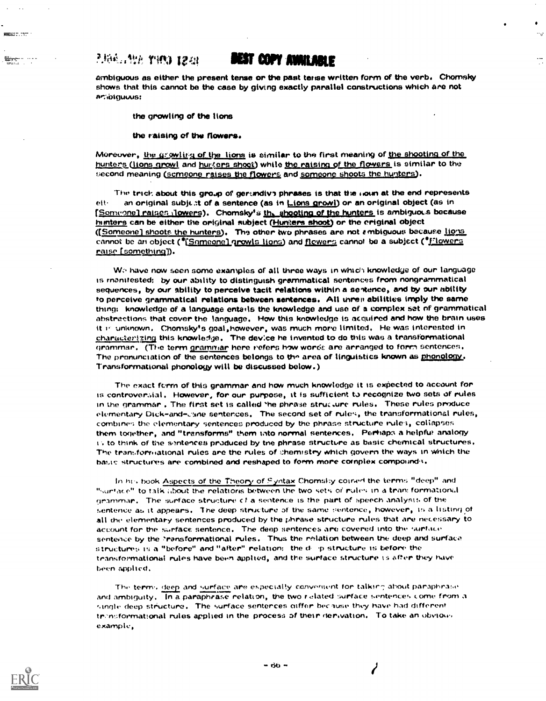## 2.培布、特别作用的 12.01

stringer

æ.

## **DEST COPY AVAILABLE**

÷v

ambiguous as either the present tense or the past tense written form of the verb. Chomsky shows that this cannot be the case by giving exactly parallel constructions which are not artiptguous:

the growling of the lions

the raising of the flowers.

Moreover, the growling of the lions is similar to the first meaning of the shooting of the hunters (lions growl and hur (grs shoot) while the raising of the flowers is similar to the second meaning (scmeone raises the flowers and someone shoots the hunters).

The trick about this group of gerundive phrases is that the noun at the end represents an original subject of a sentence (as in Lions growl) or an original object (as in eit. [Someone] raises flowers). Chomsky's the shooting of the hunters is ambiguous because hunters can be either the original subject (Hunters shoot) or the criginal object ([Someone] shoots the hunters). The other two phrases are not embiguous because lights cannot be an object ("Someone) growls lions) and flowers cannot be a subject ("Flowers raise [something]).

We have now seen some examples of all three ways in which knowledge of our language is manifested; by our ability to distinguish grammatical sentences from nongrammatical sequences, by our ability to perceive tacit relations within a sentence, and by our ability to perceive grammatical relations between sentences. All threat abilities imply the same thing: knowledge of a language entails the knowledge and use of a complex set of grammatical abstractions that cover the language. How this knowledge is acquired and how the brain uses it in unknown, Chomsky's goal, however, was much more limited. He was interested in characterizing this knowledge. The device he invented to do this was a transformational grammar. (The term grammar here nefers how words are arranged to form sentences, The pronunctation of the sentences belongs to the area of linguistics known as phonology. Transformational phonology will be discussed below.)

The exact ferm of this grammar and how much knowledge it is expected to account for is controversial, However, for our purpose, it is sufficient to recognize two sets of rules in the grammar, The first set is called the phrase structure rules. These rules produce elementary Dick-and-cane sentences. The second set of rules, the transformational rules, combines the elementary sentences produced by the phrase structure rules, collapses them together, and "transforms" them into normal sentences, Perhaps a helpful analogy is to think of the sentences produced by the phrase structure as basic chemical structures, The transformational rules are the rules of chemistry which govern the ways in which the basic structures are combined and reshaped to form more complex compounds.

In his book Aspects of the Theory of Syntax Chomsky corrent the terms "deep" and "surface" to talk about the relations between the two sets of rules in a transformational grammar, The surface structure of a sentence is the part of speech analysis of the sentence as it appears. The deep structure of the same sentence, however, is a listing of all the elementary sentences produced by the phrase structure rules that are necessary to account for the surface sentence. The deep sentences are covered into the surface sentence by the Pransformational rules. Thus the relation between the deep and surface structures is a "before" and "after" relation; the d- p structure is before the transformational rules have been applied, and the surface structure is after they have been applied.

The terms deep and surface are especially convenient for talking about paraphrase. and ambiguity. In a paraphrase relation, the two rielated surface sentences come from a single deep structure. The surface sentences differ because they have had different trinsformational rules applied in the process of their derivation. To take an obvious example,

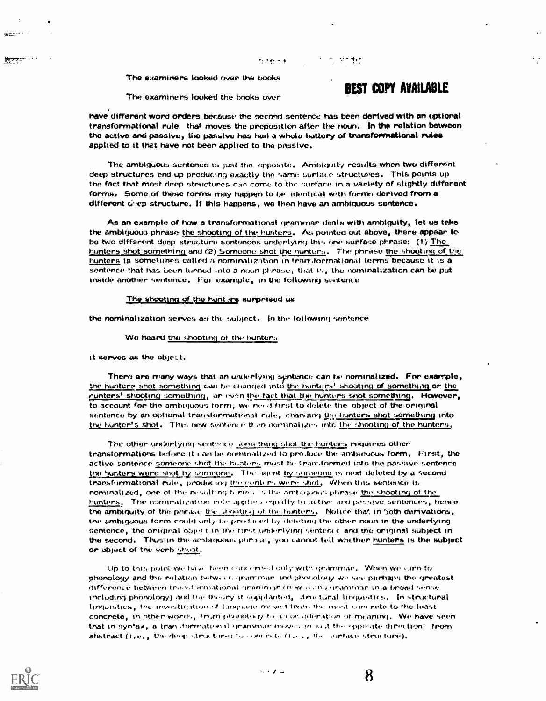The examiners looked over the books

# The examiners looked the books over **BEST COPY AVAILABLE**

over the

have different word orders because the second sentence has been derived with an optional transformational rule that moves the preposition after the noun. In the relation between the active and passive, the passive has had a whole battery of transformational rules applied to it thet have not been applied to the passive.

ti të kë

The ambiguous sentence is just the opposite. Ambiguity results when two different deep structures end up producing exactly the same surface structures. This points up the fact that most deep structures can come to the surface in a variety of slightly different forms, Some of these forms may happen to be identical with forms derived from a different  $\vec{a}$ :cp structure. If this happens, we then have an ambiguous sentence.

As an example of how a transformational grammar deals with ambiguity, let us take the ambiguous phrase the shooting of the hunters. As pointed out above, there appear to be two different deep structure sentences underlying this one surface phrase: (1) The <u>hunters shot something</u> and (2) <u>Someone shot the hunters</u>. The phrase <u>the shooting of the </u> hunters is sometimes called a nominalization in transformational terms because it is a sentence that has been turned into a noun phrase, that is, the nominalization can be put inside another sentence. Fol example, in the following sentence

#### The shooting of the hunts rs surprised us

the nominalization serves as the subject. In the following sentence

#### We heard the shooting of the hunters

it serves as the object.

There are many ways that an underlying syntence can be nominalized. For example, the hunters shot something can be changed into the hunters' shooting of something or <u>the</u> nunters' shooting something, or even the fact that the hunters snot something. However, to account for the ambiquous form, we need first to delete the object of the original sentence by an optional transformational rule, changing th<u>y hunters shot something</u> into the hunter's shot. This new sentence then nominalizes into the shooting of the hunters.

The other uniferlying sentence ... omething shot the hunters requires other transformations before it can be nominalized to produce the ambiquous form. First, the active sentence someone shot the hunterly must be transformed into the passive sentence the hunters were shot by someone. The agent by someone is next deleted by a second transformational rule, producing the equitors were shot. When this sentence is nominalized, one of the resulting form . is the ambeicase phrase the shooting of the hunters. The nomiralization ride applies equally to active and passive sentences, hence the ambiguity of the phrase the stronting of the hunters. Notice that in 5oth derivations, the ambiguous form could only the produced by deleting the other noun in the underlying. sentence, the original object in the timit underlying sentence and the original subject in the second. Thus in the ambiguous phinase, you cannot tell whether hunters is the subject or object of the verb shoot.

Up to this point we have been concerned only with grammar. When we carn to phonology and the relation between grammar, includedlogy we see perhaps the greatest difference between transformational grammar (now duing grammar in a broad sense) including phonology) and the theory it supplanted, .true tural linguistics, . In structural linguistics, the investigation of Language moved from the mest concrete to the least concrete, in other words, trom phonology to a consideration of meaning. We have seen that in syntax, a tran (formation)1 grammar moves in iust the opposite direction: from abstract (i.e., the deep structure) to concrete (i.e.,  $v_n$  are antace structure),

ৰৰ মাপ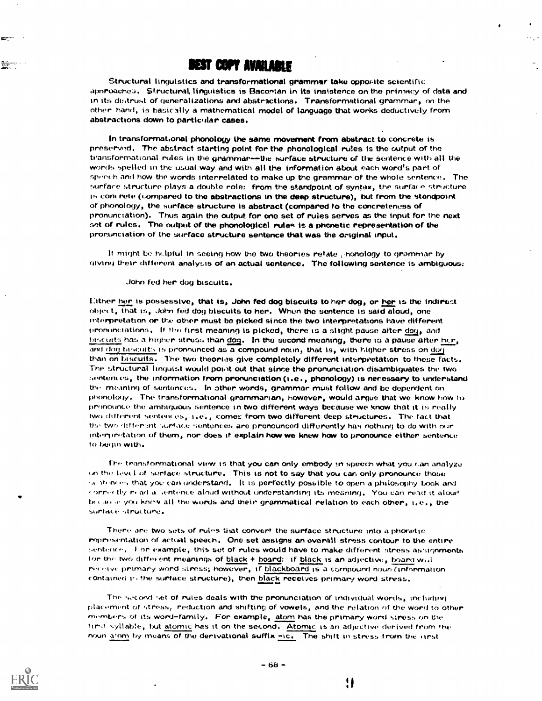Structural linguistics and transformational grammar take opposite scientific apnroacheo. Structural, linguistics is Baconian in its insistence on the primacy of data and in its distrust of generalizations and abstractions. Transformational grammar, on the other hand, is basically a mathematical model of language that works deductively from abstractions down to particular cases.

In transformational phonology the same movement from abstract to concrete is preserved. The abstract starting point for the phonological rules is the output of the transformational rules in the grammar--the surface structure of the sentence with all the words spelled in the usual way and with all the information about each word's part of  $s$  perform and how the words interrelated to make up the grammar of the whole sentence. The surface structure plays a double role: from the standpoint of syntax, the surface structure is concrete (compared to the abstractions in the deep structure), but from the standpoint of phonology, the surface structure is abstract (compared to the concreteness of pronunciation). Thus again the Output for one set of rules serves as the input for the next set of rules. The output of the phonological rules is a phonetic representation of the pronunciation of the surface structure sentence that was the original input.

It might be helpful in seeing how the two theories relate , honology to grammar by diving their different analysis of an actual sentence. The following sentence is ambiguous:

#### John fed her dog biscuits.

tither her is possessive, that is, John fed dog biscuits to her dog, or her is the indirect obieet, that is, John fed dog biscuits to her. When the sentence is said aloud, one interpretation or the other must be picked since the two interpretations have different pronunciations. If the first meaning is picked, there is a slight pause after dog, and  $b$ iscuits has a higher stress than  $\underline{dog}$ . In the second meaning, there is a pause after  $\underline{he}_r$ , and dog bincuits is pronounced as a compound noun, that is, with higher stress on dog. than on biscuits. The two theories give completely different inkirpretation to these facts. The structural linguist would point out that since the pronunciation disambiguates the two sentences, the information from pronunciation (i.e. , phonology) is necessary to understand the fneanirvi of sentences. In other words, grammar must follow and be dependent on phonology. The transformational grammarian, however, would argue that we know how to pronounce the ambiguous sentence in two different ways because we know that it is really two different sentences,  $i.e.,$  comes from two different deep structures. The fact that the two different surface sentences are pronounced differently has nothing to do with our interpretation of them, nor does it explain how we knew how to pronounce either sentence to begin with.

'the transformational view is that you can only embody in speech what you can analyze on the level of surface structure. This is not to say that you can only pronounce those to stencers that you can understand. It is perfectly possible to open a philosophy book and  $t$  or  $r$  to the ad a bentunce aloud without understanding its meaning. You can read it aloud because you know all the words and their grammatical relation to each other, i.e., the surface structure.

There are two sets of rules that convert the surface structure into a phonetic representation of actual speech. One set assigns an overall stress contour to the entire sentence. I or example, this set of rules would have to make different stress assignments for the two different meanings of black + board: if black is an adjective, board w.l. rive. primary word stress; however, if blackboard is a compound noun (information contained 1, the surface structure), then black receives primary word stress.

The sycond set of rules deals with the pronunciation of individual words, including placement of stress, reduction and shifting of vowels, and the relation of the word to other members of its word-family. For example, atom has the primary word stress on the first syllable, but atomic has it on the second. Atomic is an adjective derived from the noun a'om by means of the derivational suffix  $\frac{1}{n}$ ic. The shift in stress from the rinst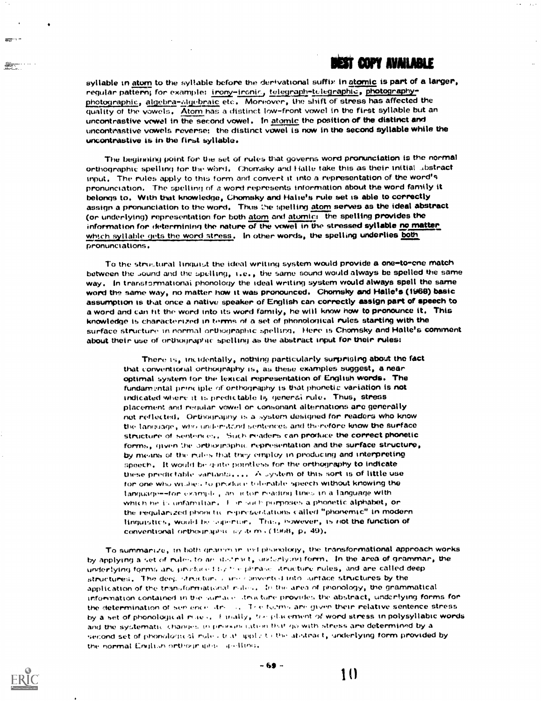## best Copy Available

syllable in atom to the syllable before the derivational suffix in atomic is part of a larger, regular pattern; for example: irony-ironic, telegraph-telegraphic, photographyphotographic, algebra-algebraic etc. Moreover, the shift of stress has affected the quality of the vowels. Atom has a distinct low-front vowel in the first syllable but an uncontrastive vowel in the second vowel. In atomic the position of the distinct and uncontrastive vowels reverse: the distinct vowel is now in the second syllable while the uncontrastive is in the first syllable.

eann a

The beginning point for the set of rules that governs word pronunciation is the normal orthographic spelling for the word. Chomsky and Halle take this as their initial abstract input. The rules apply to this form and convert it into a representation of the word's pronunciation. The spelling of a word represents information about the word family it belongs to, With that knowledge, Chomsky and Halie's rule set is able to correctly assign a pronunciation to the word. Thus the spelling atom serves as the ideal abstract (or underlying) representation for both atom and atomic: the spelling provides the information for determining the nature of the vowel in the stressed syllable no matter which syllable gets the word stress. In other words, the spelling underlies both pronunciations.

To the structural linguist the ideal writing system would provide a one-to-ene match between the Jound and the spelling, i.e., the same sound would always be spelled the same way. In transformational phonology the ideal writing system would always spell the same word the same way, no matter how it was pronounced. Chomsky and Halle's (W68) basic assumption is that once a native speaker of English can correctly assign part of speech to a word and can tit the word into its word family, he will know how to pronounce it. This knowledge is characterized in terms of a set of phonological rules starting with the surface structure in normal orthographic spelling. Here is Chomsky and Halle's comment about their use of orthographic spelling as the abstract input for their rules:

There is, incidentally, nothing particularly surprising about the fact that conventiorial orthography is, as these examples suggest, a near optimal system tor the lexical representation of English words. The fundamental principle of orthography is that phonetic variation is not indicated where it is predictable ti, general rule. Thus, stress placement and requiar vowel or consonant alternations are generally not reflected. Orthography is a system designed for readers who know the lariguage, who understand sentences and therefore know the surface structure of sentences. Such readers can produce the correct phonetic forms, given the orthographic representation and the surface structure, by means of the rules that they employ in producing and interpreting speech. It would be quite pointless for the orthography to indicate these preoic table variants.... A ..y'.tem of this sort is of little use for one who withes to produce tolerable speech without knowing the language--tor example, an actor reading lines in a language with which he is unfamiliar. I are such porposes a phonetic alphabet, or the regularized phonetic representations called "phonemic" in modern linguistics, would be superior. This, however, is not the function of conventional orthour splite  $a$ y dem. (1:408, p. 49).

To summarize, in both grammar in the phonology, the transformational approach works by applying a set of rules to an instruct, such riving form. In the area of grammar, the underlying forms are produced by the phrase. Aructure rules, and are called deep istructures, The deep structure can converted into surface structures by the application of the transformational rides. In the area of phonology, the grammatical information contained in the surface, tree-tore provides the abstract, underlying forms for the determination of see ence. Its ... The forms are given their relative sentence stress by a set of phonological mace, it mally, traciplic ement of word stress in polysyllabic words and the systematic changes in pronunciation that go with stress are determined by a second set of phonological rule , truth upply to the atelitact, underlying form provided by the normal English orthography, ... quilling.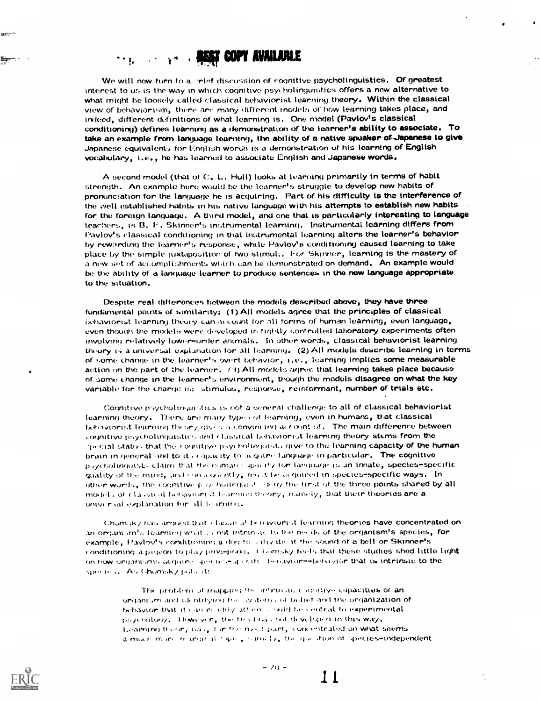#### COPY AVAILABLE n e que e

We will now turn to a -mief discussion of cognitive psycholinguistics. Of greatest interest to us is the way in which cognitive psycholinguistics offers a new alternative to what might he loosely called classical behaviorist learning theory. Within the classical view of behaviorism, there are many different models of how learning takes place, and indeed, different definitions of what learning is. One model (Pavlov's classical conditioning) defines learning as a demonstration of the learner's ability to associate. To take an example from language learntng, the ability of a native speaker of Japanese to give Japanese equivalents for English words is a demonstration of his learning of English vocabulary, i.e., he has learned to associate English and Japanese words.

A second model (that of C. L. Hull) looks at learning primarily in terms of habit strength. An example here would be the learner's struggle to develop new habits of pronunctation for the language he is acquiring. Part of his difficulty is the interference of the well established habits in his native language with his attempts to establish new habits for the foreign language. A third model, and one that is particularly interesting to language teachers, is B. F. Skinner's instrumental learning. Instrumental learning differs from Pavlov's classical conditioning in that instrumental learning alters the learner's behavior by rewardinq the learner's response, while Pavlov's conditioning caused learning to take place by the simple juxtaposition of two stimuli. For Skinner, learning is the mastery of a new set of accomplishments which can be demonstrated on demand. An example would be the ability of a language learner to produce sentences in the new language appropriate to the situation.

Despite real differences between the models described above, they have three fundamental points of similarity: (1) All models agree that the principles of classical behaviorist learning theory can account for all forms of human learning, even language, even though the models were developed in tightly controlled laboratory experiments often involving relatively lower- order animals. In other words, classical behaviorist learning theory a universal explanation for all learning, (2) All models describe learning in terms of some change in the learner's overt behavior, learning implies some measurable action on the part of the learner. (3) All models agree that learning takes place because of some c name in the learner's environment, though the models disagree on what the key variable for the charge is: stimulus, response, reinformant, number of trials etc.

Cognitive psycholtriquistics is not a general challenge to all of classical behaviorist learning theory. There are many types of learning, even in humans, that classical behaviorist learning theory gives a convincting account of. The main difference between countive poycholinguistics and classical behaviorist learning theory stems from the special states that the countive psychologousts give to the learning capacity of the human brain in general and to it.. capacity to laquine tanguage in particular. The cognitive p.ycholinguist. claim that the naman Apacity for language is an innate, species-specific quality of the mirel, and consequently, most tail acquired in species-specific ways. In other words, the cognitive p sy holtriqui it. If my the first of the three points shared by all models of classical behaviorist fearning theory, namely, that their theories are a untycr sal explanation for All Immitter.

Chumilky has arrived that chasing all telihaviorist learning theories have concentrated on an organism's learning what is not intrinsic to the needs of the organism's species, for example, Pavlov's conditioning a dog to villable it the sound of a bell or Skinner's conditioning a pigeon to play ping-poig, Chomsky feels that these studies shed little light on how organisms acquires are test as call. Iteriavior-thelyivior that is intrinsic to the species. As Ghomsky puts it:

The problem of mapping the intrinsic conditive capacities of an organism and isk ntifying the cystems of belief and the organization of behavior that it can resultly attain a suid-fie central to experimental  $\mathbb{R}^d$  $\mathbf p_i$ /( holory, Thowever, the third is . fut (if veloped in this way,  $\mathbf p_i$  $t$  . The among  $n_{\rm max}$  , the the media part, (concentrated on what seems  $t$ exprimitivity of the process for the contract of the second contract the contract of the contract of the period of the period of the period of the period of the period of the period of the period of the period of the perio

ar: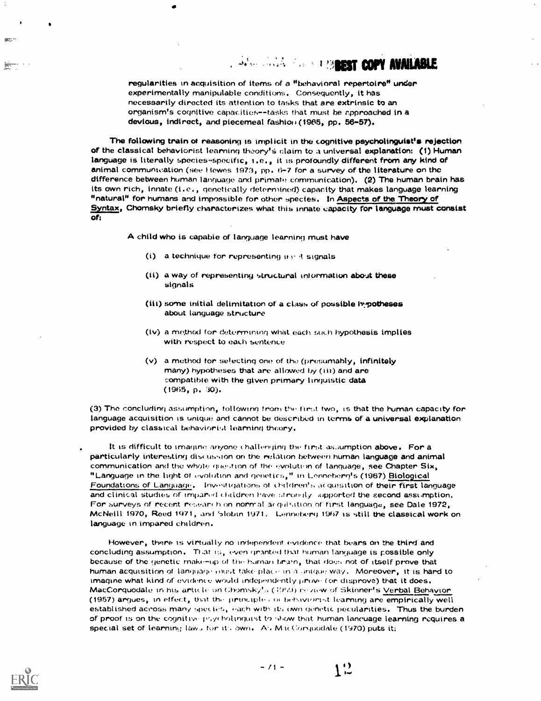# **AND COPY AVAILABLE**

regularities in acquisition of items of a "behavioral repertoire" under experimentally manipulable conditions. Consequently, it has necessarily directed its attention to tasks that are extrinsic to an organism's cognitive capacities--tasks that must be approached in a devious, indirect, and piecemeal fashion (1965, pp. 56-57).

The following train ot reasoning is implicit in the cognitive psycholinguist's rejection of the classical behaviorist learning theory's claim to a universal explanation: (1) Human language is literally species-specific, i.e., it is profoundly different from any kind of animal communication (see Hewes 1973, pp.  $6-7$  for a survey of the literature on the difference between human language and primate communication). (2) The human brain has its own rich, innate (i.e., genetically determined) capacity that makes language learning "natural" for humans and impossible for other species. In Aspects of the Theory of Syntax, Chomsky briefly characterizes what this innate capacity for language must consist of:

A child who is capabie of language learning must have

- (i) a technique for representing  $u \cdot \mathcal{R}$  signals
- (ii) a way of representing structural information about these signals
- (iii) some initial delimitation of a class of possible hypotheses about language structure
- $(iv)$  a method for determining what each such hypothesis implies with respect to each sentence
- (v) a method for selecting one of the (presumably, infinitely many) hypotheses that are allowed by (iii) and are eompatibie with the given primary linguistic data (1965, p. 30).

(3) The concluding assumption, followmg from Vie ftrst two, is that the human capacity for language acquisition is unique and cannot be described in terms of a universal explanation provided by classical behaviorist learning theory.

It is difficult to imagine anyone challenging the first assumption above. For a particularly interesting discussion on the relation between human language and animal communication and the whole question of the evolution of language, see Chapter  $\text{Six}_{k}$ "Language in the light of evolution and genetics," in Lenneherg's (1967) Biological Foundations of Language. Investigations of children's acquisition of their first language and clinical studies of impared children have strongly supported the second assimption. For surveys of recent research on normal acquisition of first language, see Dale 1972, McNeill 1970, Reed 1971, and Slotin 1971. Lenneberg 1967 is still the classical work on language in impared children.

However, there is virtually no independent evidence that bears on the third and concluding assumption. That even grantod that human language is possible only because of the genetic rnake-up of the human brain, that does not of itself prove that human acquisition of language toust take place in a unique way. Moreover, it is hard to imagine what kind of evidence would independently prove (or disprove) that it does.<br>MacCorguodale in his article on Chomsky<sup>t</sup>s ( (999) review of Skinner's Verbal Behavior. (1957) argues, in effect, that the principles of behaviorist learning are empirically well established across many species, each with its own genetic pecularities. Thus the burden of proof is on the cognitive psycholinguist to show that human lancuage learning requires a special set of learning laws for its own. As M is Corquodale (1970) puts it;



 $\binom{1}{1}$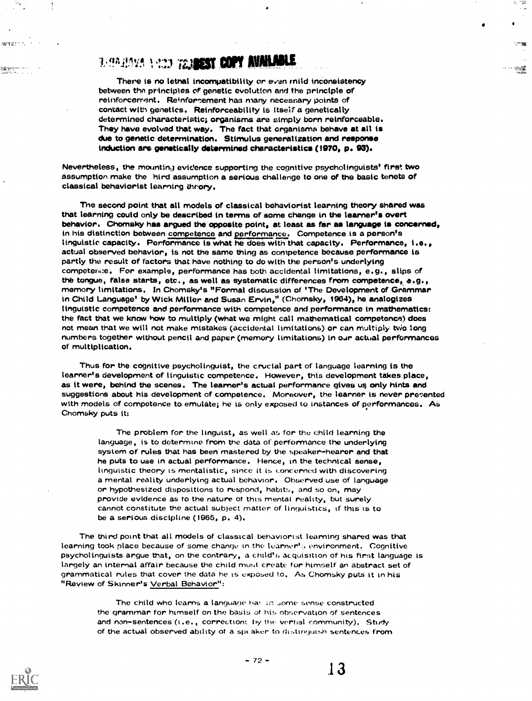# **BEGRADES NEED TRANSIST COPY AVAILABLE**

There is no lethal incompatibility or evan mild inconsistency between the principles of genetic evolution and the principle of reinforcement. Reinforcement has many necessary points of contact with genetics. Reinforceability is itself a genetically determined characteristic; organisms are simply born reinforceable. They have evolved that way. The fact that organisms behave at all is due to genetic determination. Stimulus generalization and response induction are genetically determined characteristics (1970, p. 93).

Nevertheless, the mounting evidence supporting the cognitive psycholinguists' first two assumption make the hird assumption a serious challenge to one of the basic tenets of classical behaviorist learning theory.

The second point that all models of classical behaviorist learning theory shared was that learning could only be described in terms of some change in the learner's overt behavior. Chomsky has argued the opposite point, at least as far as language is concerned, in his distinction between competence and performance. Competence is a person's linguistic capacity. Performance is what he does with that capacity. Performance, i.e., actual observed behavior, is not the same thing as competence because performance is partly the result of factors that have nothing to do with the person's underlying competersie. For example, performance has both accidental limitations, e.g., slips of the tongue, false starts, etc., as well as systematic differences from competence, e.g., memory limitations. In Chomsky's "Formal discussion of 'The Development of Grammar in Child Language<sup>†</sup> by Wick Miller and Susan Ervin," (Chomsky, 1964), he analogizes linguistic competence and performance with competence and performance in mathematics: the fact that we know how to multiply (what we might call mathematical competence) does not mean that we will not make mistakes (accidental limitations) or can multiply two long numbers together without pencil and paper (memory limitations) in our actual performances of multiplication.

Thus for the cognitive psycholinguist, the crucial part of language learning is the learner's development of linguistic competence. However, this development takes place, as it were, behind the scenes. The learner's actual performance gives us only hints and suggestions about his development of competence. Moreover, the learner is never presented with models of competence to emulate; he is only exposed to instances of performances. As Chomsky puts it:

The problem for the linguist, as well as for the child learning the language, is to determine from the data of performance the underlying system of rules that has been mastered by the speaker-hearer and that he puts to use in actual performance. Hence, in the technical sense, linguistic theory is mentalistic, since it is concerned with discovering a mental reality underlying actual behavior. Observed use of language or hypothesized dispositions to respond, habits, and so on, may provide evidence as to the nature of this mental reality, but surely cannot constitute the actual subject matter of linguistics, if this is to be a serious discipline (1965, p. 4).

The third point that all models of classical behaviorist learning shared was that learning took place because of some change in the learner's environment. Cognitive psycholinguists argue that, on the contrary, a child's acquisition of his first language is largely an internal affair because the child must create for himself an abstract set of grammatical rules that cover the data he is exposed to, As Chomsky puts it in his "Review of Skinner's Verbal Behavior":

> The child who learns a language has an some sense constructed the grammar for himself on the basis of his observation of sentences and non-sentences (i.e., corrections by the verbal community). Study of the actual observed ability of a speaker to distinguish sentences from



<del>vanj</del>eringen<br>Lingvon de l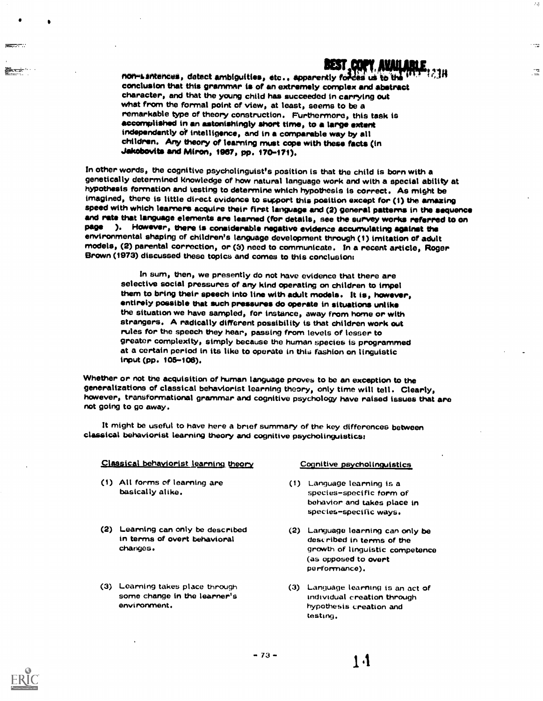# **BEST COPY AVAILARI**

45

i ser

 $\sqrt{2}$ 

non-santences, detect ambiguities, etc., apparently forces us to the  $\cdots$ conclusion that this grammar is of an extremely complex and abstract character, and that the young child has succeeded in carrying out what from the formal point of view, at least, seems to be a remarkable type of theory construction. Furthermore, this task is accomplished in an astonishingly short time, to a large extent independently of intelligence, and in a comparable way by all children. Any theory of learning must cope with these facts (in Jakobovtts and Miron, 1987, pp. 170-171).

In other words, the cognitive psycholinguist's position is that the child is born with a hypothesis formation and testing to determine which hypothesis is correct. As might be imagined, there is little direct evidence to support this position except for (1) the amazing and rate that language elements are learned (for details, see the survey works referred to on page ). However, there is considerable negative evidence accumulating against the<br>environmental shaping of children's language development through (1) imitation of adult models, (2) parental correction, or (3) need to communicate. In a recent article, Roger<br>Brown (1973) discussed these topics and comes to this conclusion:

In sum, then, we presently do not have evidence that there are selective social pressures of any kind operating on children to impel them to bring their speech into line with adult models. It is, however, entirely possible that such pressures do operate in situations unlike the situation we have sampled, for instance, away from home or with strangers. A radically different possibility is that children work out rules for the speech they hear, passing from levels of lesser to greater complexity, simply because the human species is programmed at a certain period in its like to operate in this fashion on linguistic input (pp. 105-108).

Whether or not the acquisition of human language proves to be an exception to the<br>generalizations of classical behaviorist learning theory, only time will tell. Clearly, however, transformational grammar and cognitive psychology have raised issues that are not going to go away.

It might be useful to have here a brief summary of the key differences between classical behaviorist learning theory and cognitive psycholinguistics:

#### Classical behaviorist learning theory

- (1) All forms of learning are basically alike.
- (2) Learning can only be described in terms of overt behavioral changes.
- (3) Learning takes place through some change in the learner's environment.

#### Cognitive psycholinguistics

- (1) Language learning is a species-specific form of behavior and takes place in species-specific ways.
- (2) Language learning can only be described in terms of the growth of linguistic competence (as opposed to overt performance).
- (3) Language learning is an act of individual creation through hypothesis creation and testing.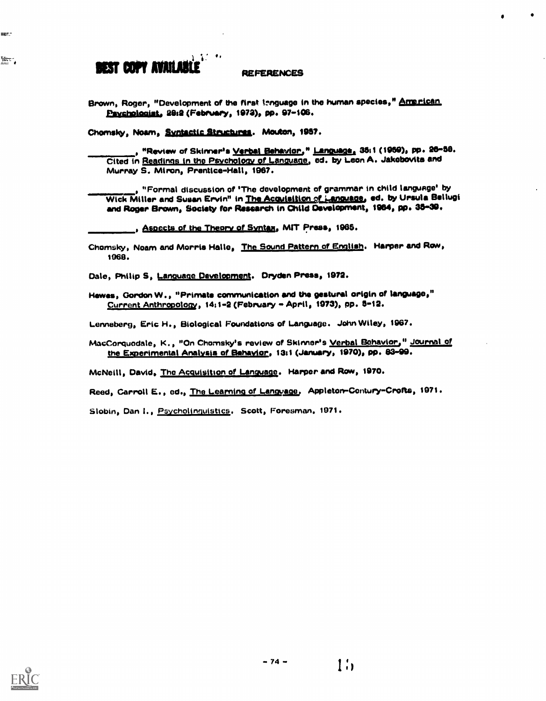### $\mathcal{L}^{\mathcal{L}}$ **BEST COPY AVAILABLE**

#### **REFERENCES**

Brown, Roger, "Development of the first isnguage in the human species," American Psychologist, 20:2 (February, 1973), pp. 97-106.

Chomsky, Noam, Syntactic Structures. Mouton, 1987.

, "Review of Skinner's <u>Verbal Behavior.</u>" <u>Language.</u> 35:1 (1959), pp. 26–58. Cited in Readings in the Psychology of Language, ed. by Leon A. Jakobovits and Murray S. Miron, Prentice-Hall, 1967.

"Formal discussion of 'The development of grammar in child language' by Wick Miller and Susan Ervin" in The Acquisition of Language, ed. by Ursula Bellugi and Roger Brown, Society for Research in Child Development, 1964, pp. 35-39.

, Aspects of the Theory of Syntax, MIT Press, 1965.

Chomsky, Noam and Morris Halle, The Sound Pattern of English. Harper and Row, 1068.

Dale, Philip S. Language Davelopment. Dryden Press, 1972.

Hewes, Gordon W., "Primate communication and the gestural origin of language," Current Anthropology, 14:1-2 (February - April, 1973), pp. 5-12.

Lenneberg, Eric H., Biological Foundations of Language. John Wiley, 1967.

MacCorquodale, K., "On Chomsky's review of Skinner's Verbal Behavior," Journal of the Experimental Analysis of Behavior, 13:1 (January, 1970), pp. 83-99.

McNeill, David, The Acquisition of Language. Harper and Row, 1970.

Reed, Carroll E., ed., The Learning of Language, Appleton-Contury-Crofts, 1971.

Slobin, Dan I., Psycholinguistics. Scott, Foresman. 1971.



and the second state.

÷.

 $1<sub>1</sub>$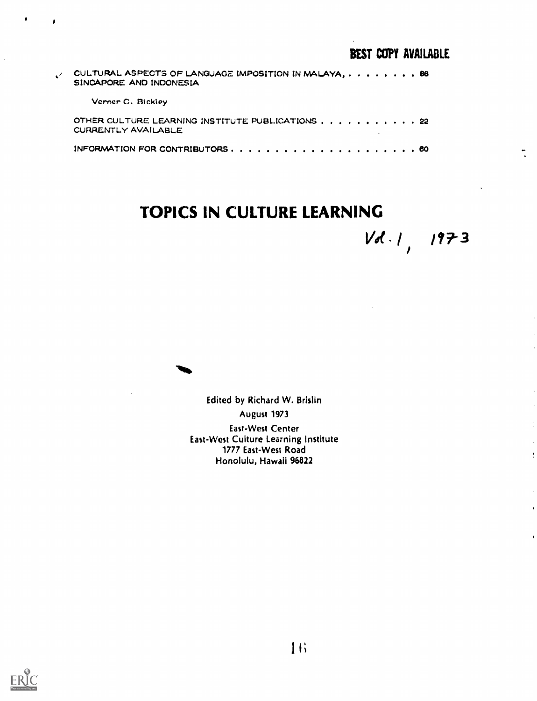| CULTURAL ASPECTS OF LANGUAGE IMPOSITION IN MALAYA, 86<br>SINGAPORE AND INDONESIA |
|----------------------------------------------------------------------------------|
| Verner C. Bickley                                                                |
| OTHER CULTURE LEARNING INSTITUTE PUBLICATIONS 22<br>CURRENTLY AVAILABLE          |
|                                                                                  |
|                                                                                  |

# TOPICS IN CULTURE LEARNING

 $Vd.1, 1973$ 

 $\ddot{\cdot}$ 

 $\ddot{\cdot}$ 

÷

 $\lambda$ 



Edited by Richard W. Brislin August 1973 East-West Center East-West Culture Learning Institute 1777 East-West Road Honolulu, Hawaii 96822



 $\lambda$